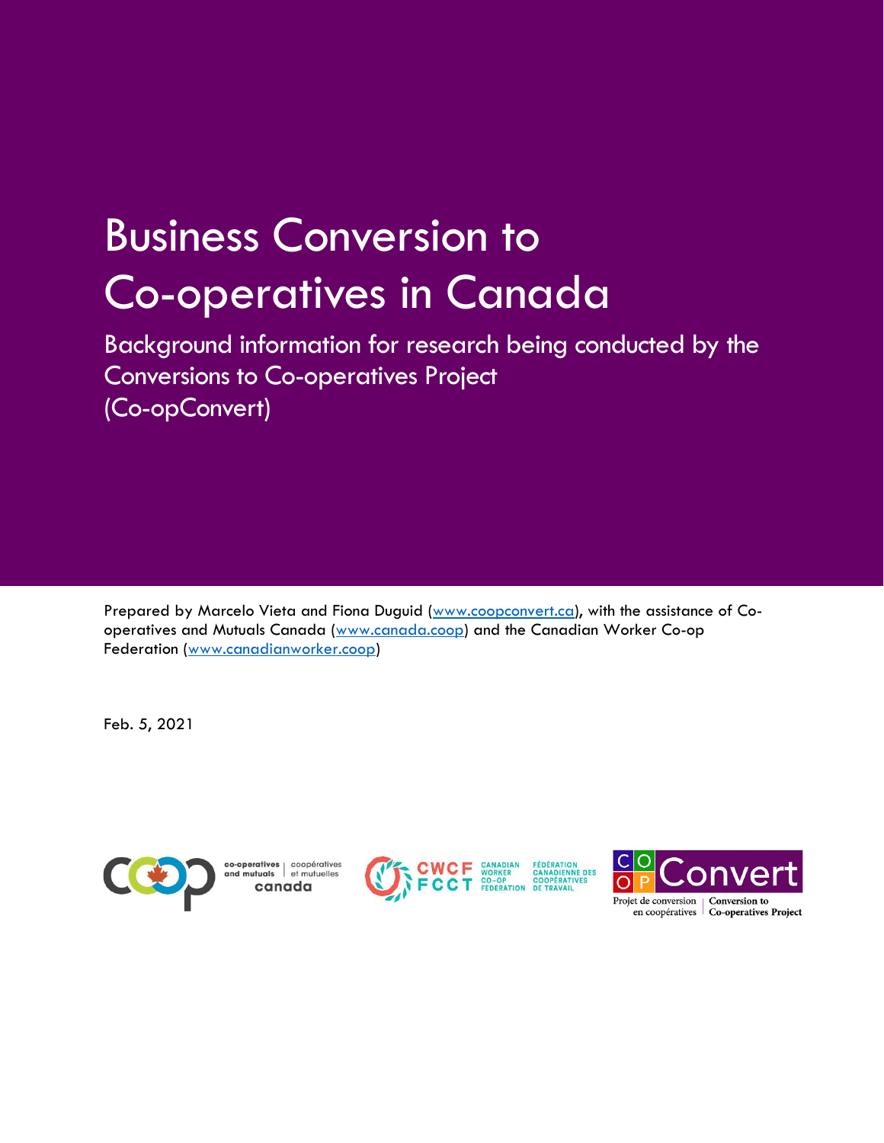# Business Conversion to Co-operatives in Canada

Background information for research being conducted by the Conversions to Co-operatives Project (Co-opConvert)

Prepared by Marcelo Vieta and Fiona Duguid [\(www.coopconvert.ca\)](http://www.coopconvert.ca/), with the assistance of Cooperatives and Mutuals Canada [\(www.canada.coop\)](http://www.canada.coop/) and the Canadian Worker Co-op Federation [\(www.canadianworker.coop\)](http://www.canadianworker.coop/)

Feb. 5, 2021



**co-operatives** coopératives<br>**ind mutuals** et mutuelles canada



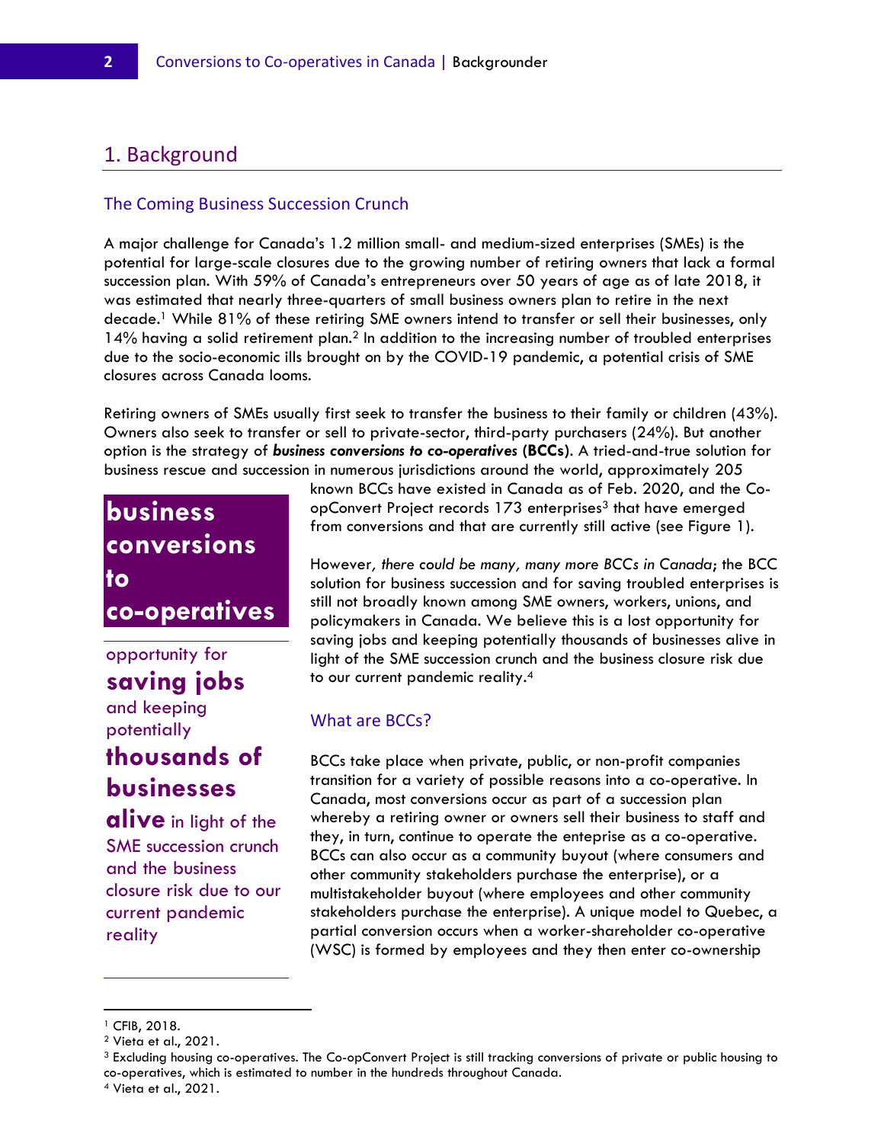#### 1. Background

#### The Coming Business Succession Crunch

A major challenge for Canada's 1.2 million small- and medium-sized enterprises (SMEs) is the potential for large-scale closures due to the growing number of retiring owners that lack a formal succession plan. With 59% of Canada's entrepreneurs over 50 years of age as of late 2018, it was estimated that nearly three-quarters of small business owners plan to retire in the next decade.<sup>1</sup> While 81% of these retiring SME owners intend to transfer or sell their businesses, only 14% having a solid retirement plan.<sup>2</sup> In addition to the increasing number of troubled enterprises due to the socio-economic ills brought on by the COVID-19 pandemic, a potential crisis of SME closures across Canada looms.

Retiring owners of SMEs usually first seek to transfer the business to their family or children (43%). Owners also seek to transfer or sell to private-sector, third-party purchasers (24%). But another option is the strategy of *business conversions to co-operatives* **(BCCs)**. A tried-and-true solution for business rescue and succession in numerous jurisdictions around the world, approximately 205

### **business conversions to co-operatives**

## opportunity for

## **saving jobs**

and keeping potentially

### **thousands of businesses**

**alive** in light of the SME succession crunch and the business closure risk due to our current pandemic reality

known BCCs have existed in Canada as of Feb. 2020, and the CoopConvert Project records 173 enterprises<sup>3</sup> that have emerged from conversions and that are currently still active (see Figure 1).

However*, there could be many, many more BCCs in Canada*; the BCC solution for business succession and for saving troubled enterprises is still not broadly known among SME owners, workers, unions, and policymakers in Canada. We believe this is a lost opportunity for saving jobs and keeping potentially thousands of businesses alive in light of the SME succession crunch and the business closure risk due to our current pandemic reality. $^4$ 

#### What are BCCs?

BCCs take place when private, public, or non-profit companies transition for a variety of possible reasons into a co-operative. In Canada, most conversions occur as part of a succession plan whereby a retiring owner or owners sell their business to staff and they, in turn, continue to operate the enteprise as a co-operative. BCCs can also occur as a community buyout (where consumers and other community stakeholders purchase the enterprise), or a multistakeholder buyout (where employees and other community stakeholders purchase the enterprise). A unique model to Quebec, a partial conversion occurs when a worker-shareholder co-operative (WSC) is formed by employees and they then enter co-ownership

<sup>1</sup> CFIB, 2018.

<sup>2</sup> Vieta et al., 2021.

<sup>3</sup> Excluding housing co-operatives. The Co-opConvert Project is still tracking conversions of private or public housing to co-operatives, which is estimated to number in the hundreds throughout Canada.

<sup>4</sup> Vieta et al., 2021.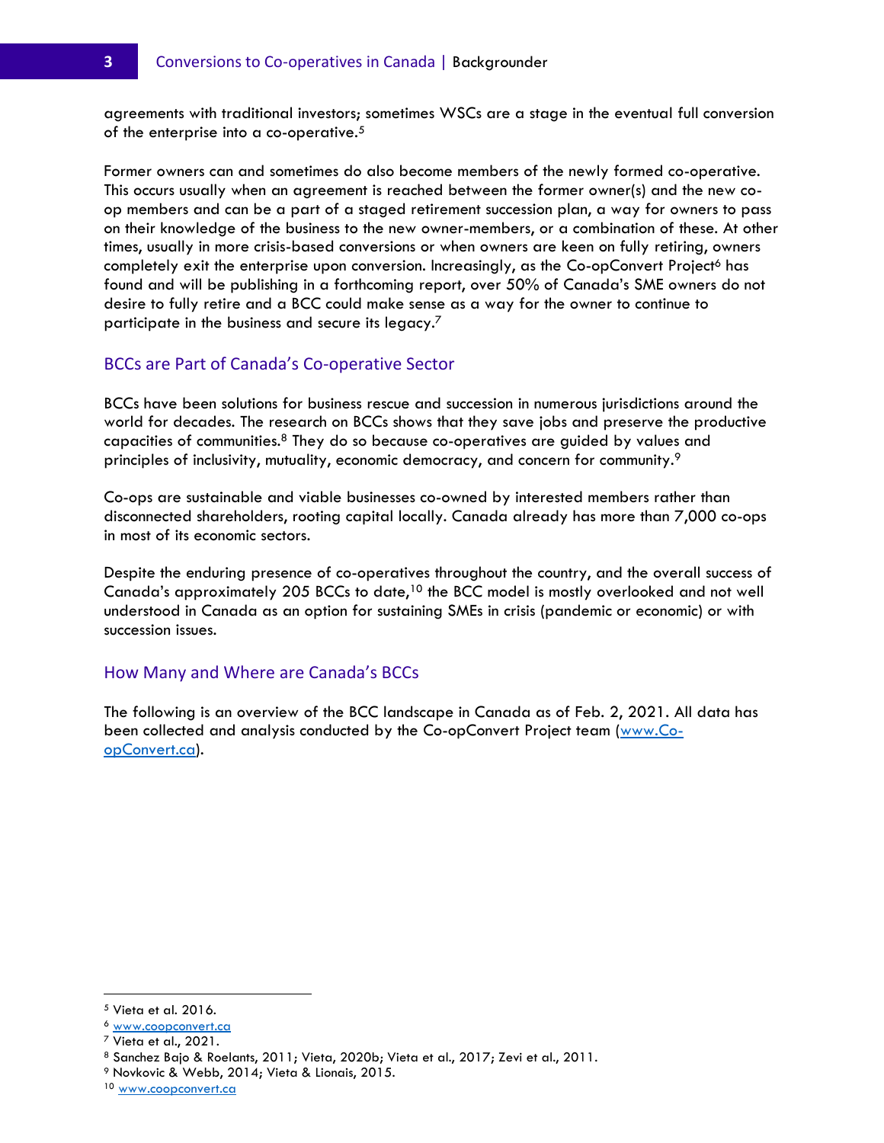agreements with traditional investors; sometimes WSCs are a stage in the eventual full conversion of the enterprise into a co-operative.<sup>5</sup>

Former owners can and sometimes do also become members of the newly formed co-operative. This occurs usually when an agreement is reached between the former owner(s) and the new coop members and can be a part of a staged retirement succession plan, a way for owners to pass on their knowledge of the business to the new owner-members, or a combination of these. At other times, usually in more crisis-based conversions or when owners are keen on fully retiring, owners completely exit the enterprise upon conversion. Increasingly, as the Co-opConvert Project<sup>6</sup> has found and will be publishing in a forthcoming report, over 50% of Canada's SME owners do not desire to fully retire and a BCC could make sense as a way for the owner to continue to participate in the business and secure its legacy.<sup>7</sup>

#### BCCs are Part of Canada's Co-operative Sector

BCCs have been solutions for business rescue and succession in numerous jurisdictions around the world for decades. The research on BCCs shows that they save jobs and preserve the productive capacities of communities.<sup>8</sup> They do so because co-operatives are guided by values and principles of inclusivity, mutuality, economic democracy, and concern for community.<sup>9</sup>

Co-ops are sustainable and viable businesses co-owned by interested members rather than disconnected shareholders, rooting capital locally. Canada already has more than 7,000 co-ops in most of its economic sectors.

Despite the enduring presence of co-operatives throughout the country, and the overall success of Canada's approximately 205 BCCs to date,<sup>10</sup> the BCC model is mostly overlooked and not well understood in Canada as an option for sustaining SMEs in crisis (pandemic or economic) or with succession issues.

#### How Many and Where are Canada's BCCs

The following is an overview of the BCC landscape in Canada as of Feb. 2, 2021. All data has been collected and analysis conducted by the Co-opConvert Project team [\(www.Co](http://www.coopconvert.ca/)[opConvert.ca\)](http://www.coopconvert.ca/).

<sup>5</sup> Vieta et al. 2016.

<sup>6</sup> [www.coopconvert.ca](http://www.coopconvert.ca/)

 $7$  Vieta et al., 2021.

<sup>8</sup> Sanchez Bajo & Roelants, 2011; Vieta, 2020b; Vieta et al., 2017; Zevi et al., 2011.

<sup>9</sup> Novkovic & Webb, 2014; Vieta & Lionais, 2015.

<sup>10</sup> [www.coopconvert.ca](http://www.coopconvert.ca/)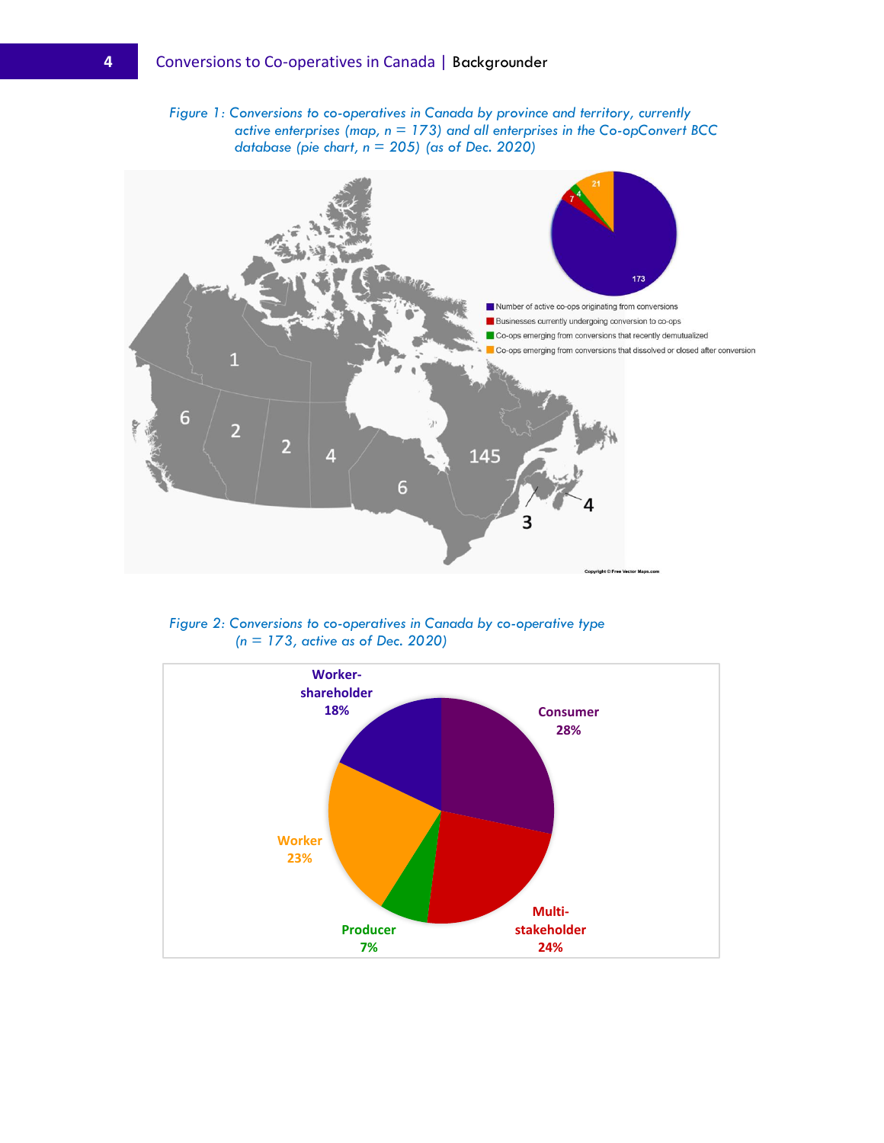*Figure 1: Conversions to co-operatives in Canada by province and territory, currently active enterprises (map, n = 173) and all enterprises in the Co-opConvert BCC database (pie chart, n = 205) (as of Dec. 2020)*



*Figure 2: Conversions to co-operatives in Canada by co-operative type (n = 173, active as of Dec. 2020)*

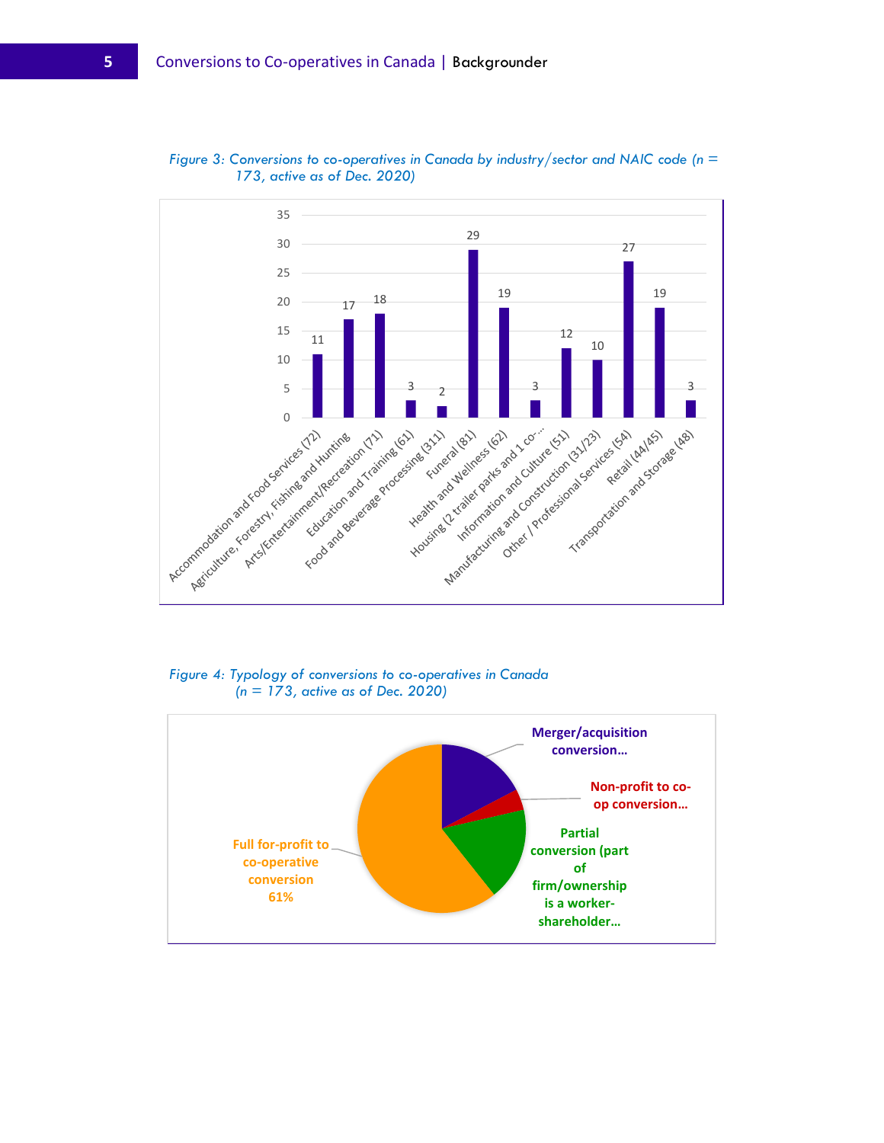

*Figure 3: Conversions to co-operatives in Canada by industry/sector and NAIC code (n = 173, active as of Dec. 2020)*

*Figure 4: Typology of conversions to co-operatives in Canada (n = 173, active as of Dec. 2020)*

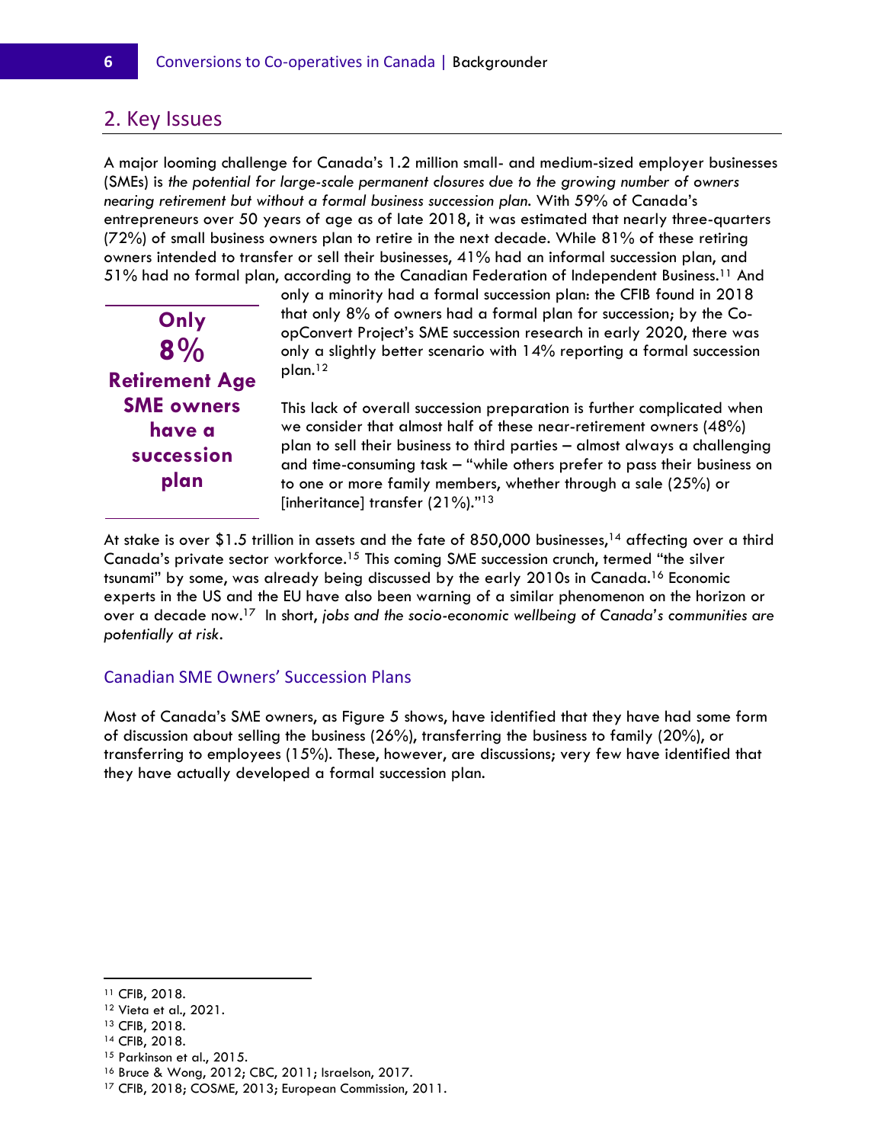#### 2. Key Issues

A major looming challenge for Canada's 1.2 million small- and medium-sized employer businesses (SMEs) is *the potential for large-scale permanent closures due to the growing number of owners nearing retirement but without a formal business succession plan*. With 59% of Canada's entrepreneurs over 50 years of age as of late 2018, it was estimated that nearly three-quarters (72%) of small business owners plan to retire in the next decade. While 81% of these retiring owners intended to transfer or sell their businesses, 41% had an informal succession plan, and 51% had no formal plan, according to the Canadian Federation of Independent Business.<sup>11</sup> And



only a minority had a formal succession plan: the CFIB found in 2018 that only 8% of owners had a formal plan for succession; by the CoopConvert Project's SME succession research in early 2020, there was only a slightly better scenario with 14% reporting a formal succession plan.<sup>12</sup>

This lack of overall succession preparation is further complicated when we consider that almost half of these near-retirement owners (48%) plan to sell their business to third parties – almost always a challenging and time-consuming task – "while others prefer to pass their business on to one or more family members, whether through a sale (25%) or [inheritance] transfer (21%)." <sup>13</sup>

At stake is over \$1.5 trillion in assets and the fate of 850,000 businesses,<sup>14</sup> affecting over a third Canada's private sector workforce.<sup>15</sup> This coming SME succession crunch, termed "the silver tsunami" by some, was already being discussed by the early 2010s in Canada. <sup>16</sup> Economic experts in the US and the EU have also been warning of a similar phenomenon on the horizon or over a decade now. <sup>17</sup> In short, *jobs and the socio-economic wellbeing of Canada's communities are potentially at risk*.

#### Canadian SME Owners' Succession Plans

Most of Canada's SME owners, as Figure 5 shows, have identified that they have had some form of discussion about selling the business (26%), transferring the business to family (20%), or transferring to employees (15%). These, however, are discussions; very few have identified that they have actually developed a formal succession plan.

<sup>11</sup> CFIB, 2018.

<sup>12</sup> Vieta et al., 2021.

<sup>13</sup> CFIB, 2018.

<sup>14</sup> CFIB, 2018.

<sup>&</sup>lt;sup>15</sup> Parkinson et al., 2015.

<sup>16</sup> Bruce & Wong, 2012; CBC, 2011; Israelson, 2017.

<sup>17</sup> CFIB, 2018; COSME, 2013; European Commission, 2011.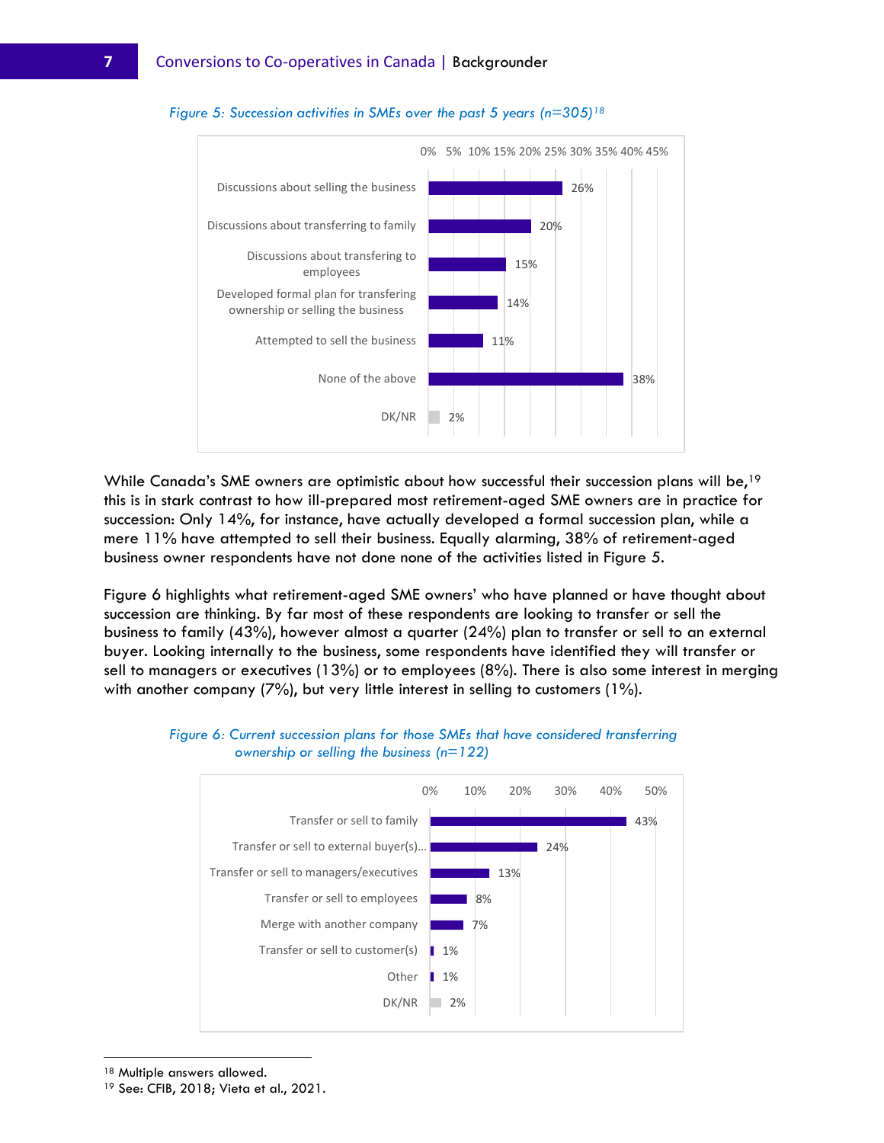

#### *Figure 5: Succession activities in SMEs over the past 5 years (n=305)<sup>18</sup>*

While Canada's SME owners are optimistic about how successful their succession plans will be,<sup>19</sup> this is in stark contrast to how ill-prepared most retirement-aged SME owners are in practice for succession: Only 14%, for instance, have actually developed a formal succession plan, while a mere 11% have attempted to sell their business. Equally alarming, 38% of retirement-aged business owner respondents have not done none of the activities listed in Figure 5.

Figure 6 highlights what retirement-aged SME owners' who have planned or have thought about succession are thinking. By far most of these respondents are looking to transfer or sell the business to family (43%), however almost a quarter (24%) plan to transfer or sell to an external buyer. Looking internally to the business, some respondents have identified they will transfer or sell to managers or executives (13%) or to employees (8%). There is also some interest in merging with another company (7%), but very little interest in selling to customers (1%).





<sup>18</sup> Multiple answers allowed.

<sup>19</sup> See: CFIB, 2018; Vieta et al., 2021.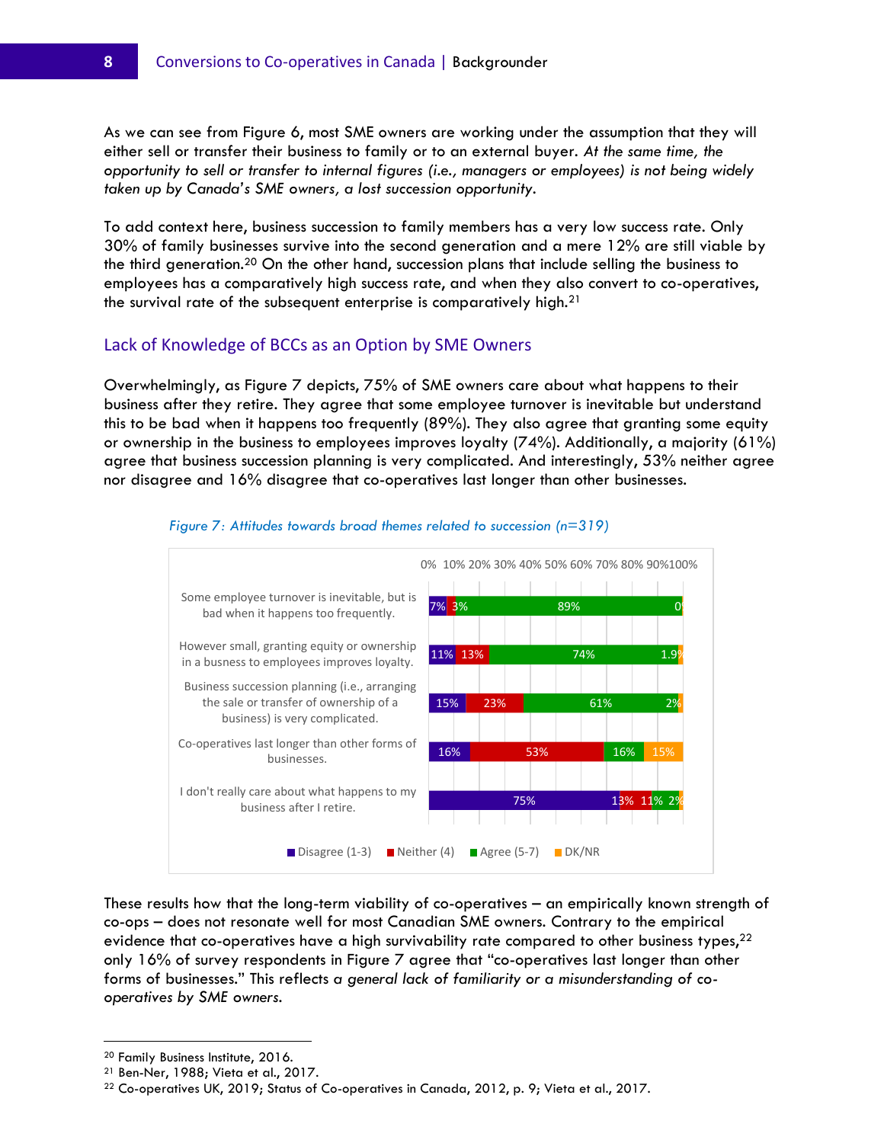As we can see from Figure 6, most SME owners are working under the assumption that they will either sell or transfer their business to family or to an external buyer. *At the same time, the opportunity to sell or transfer to internal figures (i.e., managers or employees) is not being widely taken up by Canada's SME owners, a lost succession opportunity*.

To add context here, business succession to family members has a very low success rate. Only 30% of family businesses survive into the second generation and a mere 12% are still viable by the third generation.<sup>20</sup> On the other hand, succession plans that include selling the business to employees has a comparatively high success rate, and when they also convert to co-operatives, the survival rate of the subsequent enterprise is comparatively high.<sup>21</sup>

#### Lack of Knowledge of BCCs as an Option by SME Owners

Overwhelmingly, as Figure 7 depicts, 75% of SME owners care about what happens to their business after they retire. They agree that some employee turnover is inevitable but understand this to be bad when it happens too frequently (89%). They also agree that granting some equity or ownership in the business to employees improves loyalty (74%). Additionally, a majority (61%) agree that business succession planning is very complicated. And interestingly, 53% neither agree nor disagree and 16% disagree that co-operatives last longer than other businesses.



#### *Figure 7: Attitudes towards broad themes related to succession (n=319)*

These results how that the long-term viability of co-operatives – an empirically known strength of co-ops – does not resonate well for most Canadian SME owners. Contrary to the empirical evidence that co-operatives have a high survivability rate compared to other business types,  $2^2$ only 16% of survey respondents in Figure 7 agree that "co-operatives last longer than other forms of businesses." This reflects *a general lack of familiarity or a misunderstanding of cooperatives by SME owners*.

<sup>20</sup> Family Business Institute, 2016.

<sup>21</sup> Ben-Ner, 1988; Vieta et al., 2017.

 $22$  Co-operatives UK, 2019; Status of Co-operatives in Canada, 2012, p. 9; Vieta et al., 2017.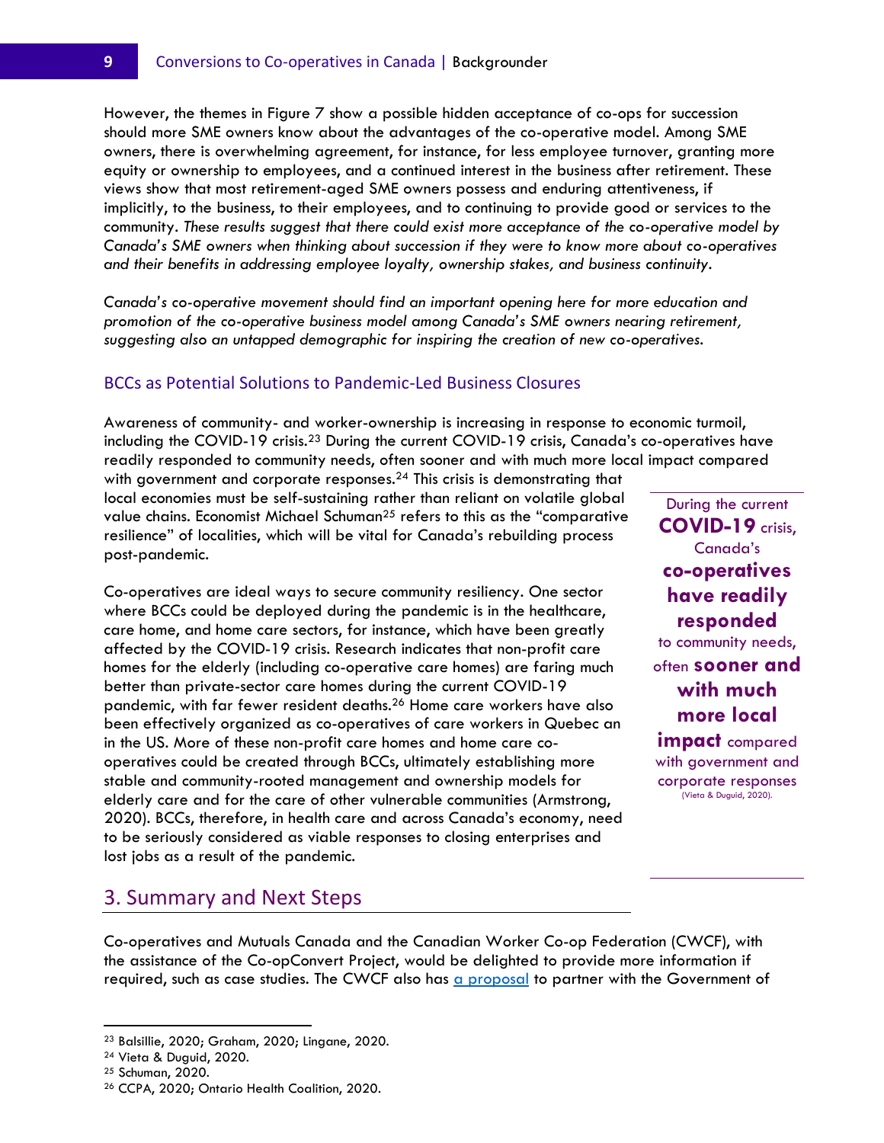However, the themes in Figure 7 show a possible hidden acceptance of co-ops for succession should more SME owners know about the advantages of the co-operative model. Among SME owners, there is overwhelming agreement, for instance, for less employee turnover, granting more equity or ownership to employees, and a continued interest in the business after retirement. These views show that most retirement-aged SME owners possess and enduring attentiveness, if implicitly, to the business, to their employees, and to continuing to provide good or services to the community. *These results suggest that there could exist more acceptance of the co-operative model by Canada's SME owners when thinking about succession if they were to know more about co-operatives and their benefits in addressing employee loyalty, ownership stakes, and business continuity*.

*Canada's co-operative movement should find an important opening here for more education and promotion of the co-operative business model among Canada's SME owners nearing retirement, suggesting also an untapped demographic for inspiring the creation of new co-operatives*.

#### BCCs as Potential Solutions to Pandemic-Led Business Closures

Awareness of community- and worker-ownership is increasing in response to economic turmoil, including the COVID-19 crisis.<sup>23</sup> During the current COVID-19 crisis, Canada's co-operatives have readily responded to community needs, often sooner and with much more local impact compared

with government and corporate responses.<sup>24</sup> This crisis is demonstrating that local economies must be self-sustaining rather than reliant on volatile global value chains. Economist Michael Schuman<sup>25</sup> refers to this as the "comparative resilience" of localities, which will be vital for Canada's rebuilding process post-pandemic.

Co-operatives are ideal ways to secure community resiliency. One sector where BCCs could be deployed during the pandemic is in the healthcare, care home, and home care sectors, for instance, which have been greatly affected by the COVID-19 crisis. Research indicates that non-profit care homes for the elderly (including co-operative care homes) are faring much better than private-sector care homes during the current COVID-19 pandemic, with far fewer resident deaths. <sup>26</sup> Home care workers have also been effectively organized as co-operatives of care workers in Quebec an in the US. More of these non-profit care homes and home care cooperatives could be created through BCCs, ultimately establishing more stable and community-rooted management and ownership models for elderly care and for the care of other vulnerable communities (Armstrong, 2020). BCCs, therefore, in health care and across Canada's economy, need to be seriously considered as viable responses to closing enterprises and lost jobs as a result of the pandemic.

During the current **COVID-19** crisis, Canada's **co-operatives have readily responded** to community needs, often **sooner and with much more local impact** compared with government and corporate responses (Vieta & Duguid, 2020).

#### 3. Summary and Next Steps

Co-operatives and Mutuals Canada and the Canadian Worker Co-op Federation (CWCF), with the assistance of the Co-opConvert Project, would be delighted to provide more information if required, such as case studies. The CWCF also has [a proposal](https://canadianworker.coop/a-proposal-for-shining-light-into-this-darkness-with-the-solidarity-co-operative-movement/) to partner with the Government of

<sup>23</sup> Balsillie, 2020; Graham, 2020; Lingane, 2020.

<sup>24</sup> Vieta & Duguid, 2020.

<sup>25</sup> Schuman, 2020.

<sup>26</sup> CCPA, 2020; Ontario Health Coalition, 2020.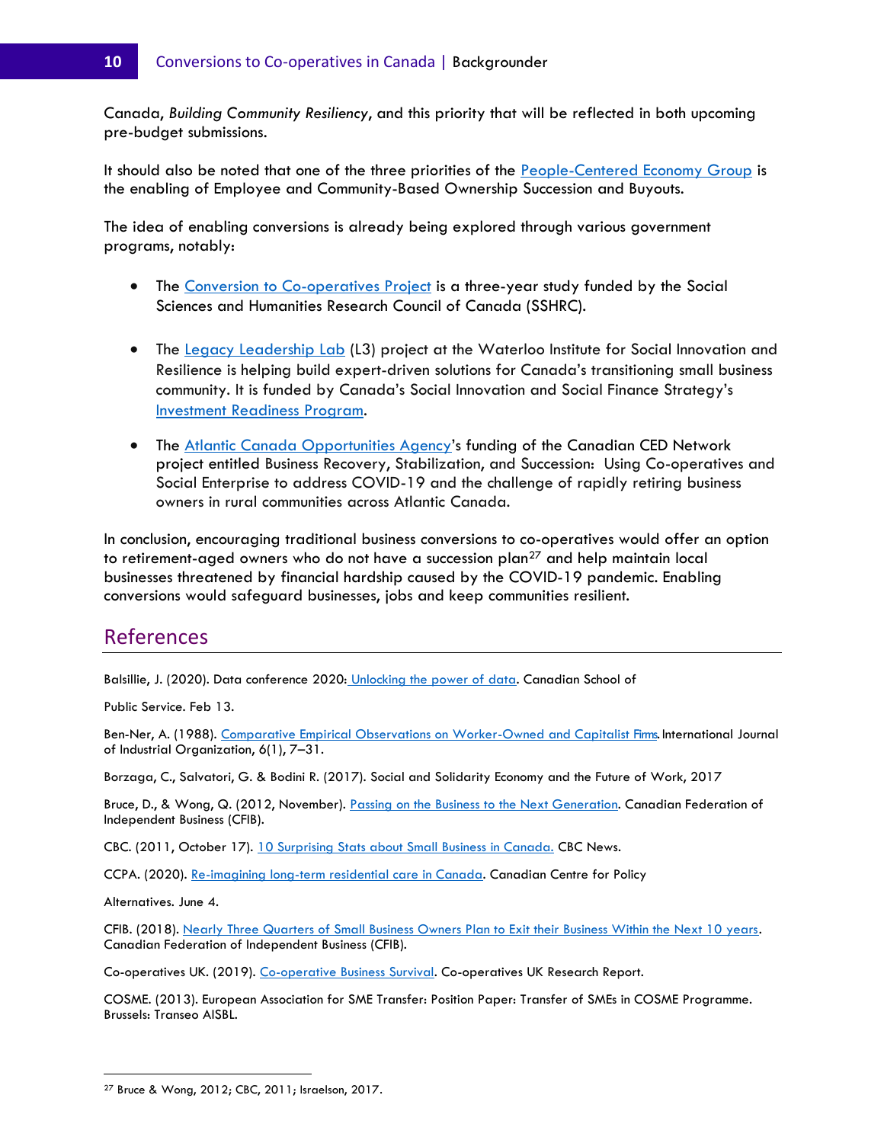Canada, *Building Community Resiliency*, and this priority that will be reflected in both upcoming pre-budget submissions.

It should also be noted that one of the three priorities of the [People-Centered Economy Group](https://ccednet-rcdec.ca/en/page/people-centred-economy-group) is the enabling of Employee and Community-Based Ownership Succession and Buyouts.

The idea of enabling conversions is already being explored through various government programs, notably:

- The [Conversion to Co-operatives Project](https://www.coopconvert.ca/) is a three-year study funded by the Social Sciences and Humanities Research Council of Canada (SSHRC).
- The <u>Legacy Leadership Lab</u> (L3) project at the Waterloo Institute for Social Innovation and Resilience is helping build expert-driven solutions for Canada's transitioning small business community. It is funded by Canada's Social Innovation and Social Finance Strategy's [Investment Readiness Program.](https://irp-ppi.ca/en/)
- The [Atlantic Canada Opportunities Agency](https://www.canada.ca/en/atlantic-canada-opportunities.html)'s funding of the Canadian CED Network project entitled Business Recovery, Stabilization, and Succession: Using Co-operatives and Social Enterprise to address COVID-19 and the challenge of rapidly retiring business owners in rural communities across Atlantic Canada.

In conclusion, encouraging traditional business conversions to co-operatives would offer an option to retirement-aged owners who do not have a succession plan<sup>27</sup> and help maintain local businesses threatened by financial hardship caused by the COVID-19 pandemic. Enabling conversions would safeguard businesses, jobs and keep communities resilient.

#### References

Balsillie, J. (2020). Data conference 2020: [Unlocking the power of data.](https://www.csps-efpc.gc.ca/events/data-conference-2020/index-eng.aspx?wbdisable=true) Canadian School of

Public Service. Feb 13.

Ben-Ner, A. (1988). [Comparative Empirical Observations on Worker-Owned and Capitalist Firms.](https://www.sciencedirect.com/science/article/abs/pii/0167718788900033) International Journal of Industrial Organization, 6(1), 7–31.

Borzaga, C., Salvatori, G. & Bodini R. (2017). Social and Solidarity Economy and the Future of Work, 2017

Bruce, D., & Wong, Q. (2012, November). [Passing on the Business to the Next Generation.](https://www.cfib-fcei.ca/en/research/passing-business-next-generation) Canadian Federation of Independent Business (CFIB).

CBC. (2011, October 17). [10 Surprising Stats about Small Business in Canada.](https://www.cbc.ca/news/business/10-surprising-stats-about-small-business-in-canada-1.1083238) CBC News.

CCPA. (2020). [Re-imagining long-term residential care in Canada.](https://www.policyalternatives.ca/newsroom/news-releases/re-imagining-long-term-residential-care-canada) Canadian Centre for Policy

Alternatives. June 4.

CFIB. (2018). [Nearly Three Quarters of Small Business Owners Plan to Exit their Business Within the Next 10 years.](https://www.cfib-fcei.ca/en/media/nearly-three-quarters-small-business-owners-plan-exit-their-business-within-next-10-years)  Canadian Federation of Independent Business (CFIB).

Co-operatives UK. (2019). [Co-operative Business Survival.](https://www.uk.coop/resources/co-operative-business-survival) Co-operatives UK Research Report.

COSME. (2013). European Association for SME Transfer: Position Paper: Transfer of SMEs in COSME Programme. Brussels: Transeo AISBL.

<sup>27</sup> Bruce & Wong, 2012; CBC, 2011; Israelson, 2017.